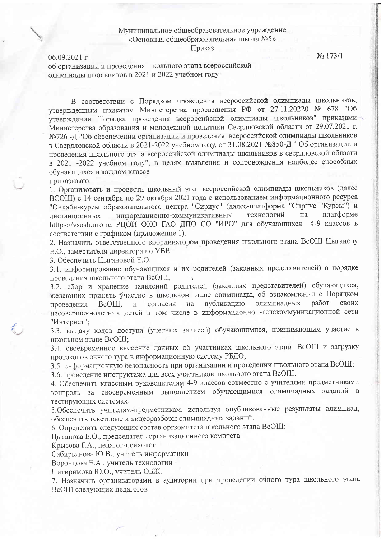## Муниципальное общеобразовательное учреждение «Основная общеобразовательная школа №5» Приказ

 $06.09.2021$   $\Gamma$ 

No 173/1

об организации и проведения школьного этапа всероссийской олимпиады школьников в 2021 и 2022 учебном году

В соответствии с Порядком проведения всероссийской олимпиады школьников, утвержденным приказом Министерства просвещения РФ от 27.11.20220 № 678 "Об утверждении Порядка проведения всероссийской олимпиады школьников" приказами Министерства образования и молодежной политики Свердловской области от 29.07.2021 г. №726 -Д "Об обеспечении организации и проведения всероссийской олимпиады школьников в Свердловской области в 2021-2022 учебном году, от 31.08.2021 №850-Д "Об организации и проведения школьного этапа всероссийской олимпиады школьников в свердловской области в 2021 -2022 учебном году", в целях выявления и сопровождения наиболее способных обучающихся в каждом классе

приказываю:

1. Организовать и провести школьный этап всероссийской олимпиады школьников (далее ВСОШ) с 14 сентября по 29 октября 2021 года с использованием информационного ресурса "Онлайн-курсы образовательного центра "Сириус" (далее-платформа "Сириус "Курсы") и платформе технологий информационно-коммуникативных на листанционных htttps://vsosh.irro.ru РЦОИ ОКО ГАО ДПО СО "ИРО" для обучающихся 4-9 классов в соответствии с графиком (приложение 1).

2. Назначить ответственного координатором проведения школьного этапа ВсОШ Цыганову Е.О., заместителя директора по УВР.

3. Обеспечить Цыгановой Е.О.

3.1. информирование обучающихся и их родителей (законных представителей) о порядке проведения школьного этапа ВсОШ;

3.2. сбор и хранение заявлений родителей (законных представителей) обучающихся, желающих принять участие в школьном этапе олимпиады, об ознакомлении с Порядком олимпиадных работ своих публикацию проведения BcOIII,  $\overline{M}$ согласия на несовершеннолетних детей в том числе в информационно -телекоммуникационной сети "Интернет";

3.3. выдачу кодов доступа (учетных записей) обучающимися, принимающим участие в школьном этапе ВсОШ;

3.4. своевременное внесение данных об участниках школьного этапа ВсОШ и загрузку протоколов очного тура в информационную систему РБДО;

3.5. информационную безопасность при организации и проведении школьного этапа ВсОШ;

3.6. проведение инструктажа для всех участников школьного этапа ВсОШ.

4. Обеспечить классным руководителям 4-9 классов совместно с учителями предметниками контроль за своевременным выполнением обучающимися олимпиадных заданий в тестирующих системах.

5. Обеспечить учителям-предметникам, используя опубликованные результаты олимпиад, обеспечить текстовые и видеоразборы олимпиадных заданий.

6. Определить следующих состав оргкомитета школьного этапа ВсОШ:

Цыганова Е.О., председатель организационного комитета

Крысова Г.А., педагог-психолог

Сабирьянова Ю.В., учитель информатики

Воронцова Е.А., учитель технологии

Питиримова Ю.О., учитель ОБЖ.

7. Назначить организаторами в аудитории при проведении очного тура школьного этапа ВсОШ следующих педагогов